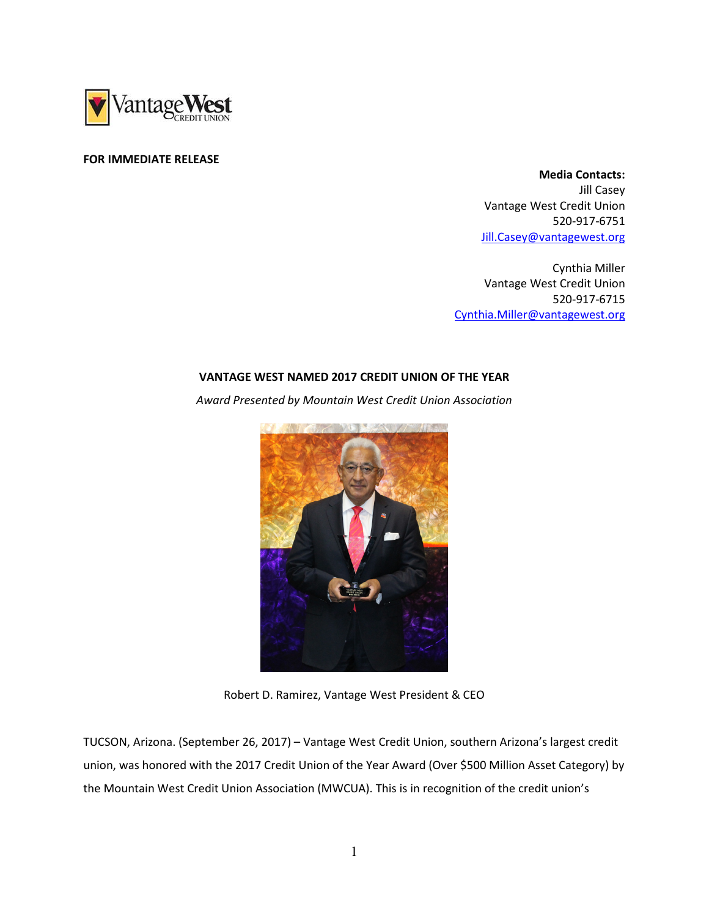

## FOR IMMEDIATE RELEASE

 Media Contacts: Jill Casey Vantage West Credit Union 520-917-6751 Jill.Casey@vantagewest.org

Cynthia Miller Vantage West Credit Union 520-917-6715 Cynthia.Miller@vantagewest.org

## VANTAGE WEST NAMED 2017 CREDIT UNION OF THE YEAR

Award Presented by Mountain West Credit Union Association



Robert D. Ramirez, Vantage West President & CEO

TUCSON, Arizona. (September 26, 2017) – Vantage West Credit Union, southern Arizona's largest credit union, was honored with the 2017 Credit Union of the Year Award (Over \$500 Million Asset Category) by the Mountain West Credit Union Association (MWCUA). This is in recognition of the credit union's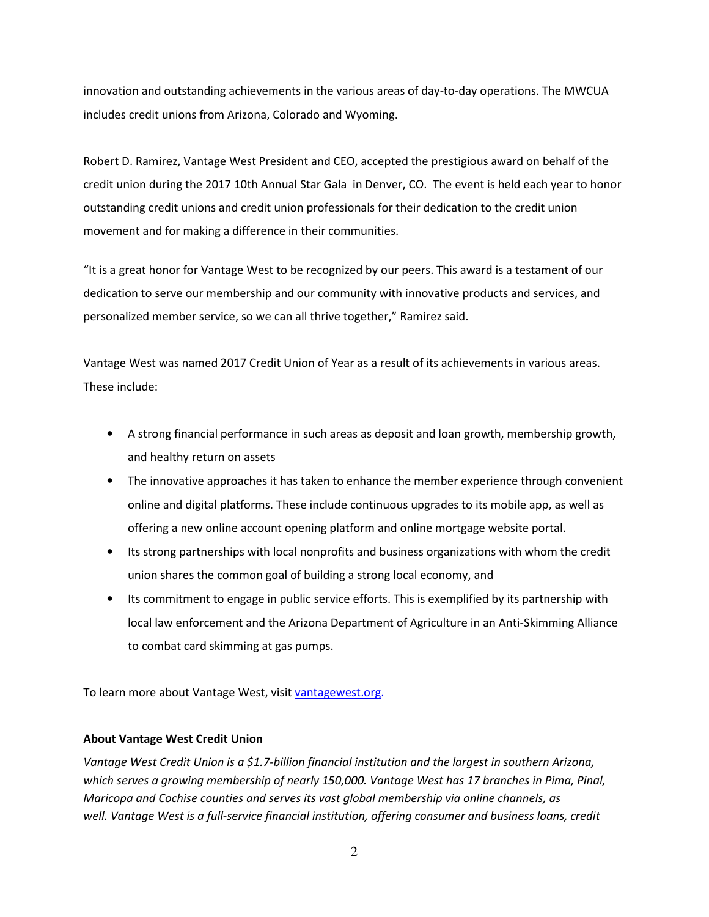innovation and outstanding achievements in the various areas of day-to-day operations. The MWCUA includes credit unions from Arizona, Colorado and Wyoming.

Robert D. Ramirez, Vantage West President and CEO, accepted the prestigious award on behalf of the credit union during the 2017 10th Annual Star Gala in Denver, CO. The event is held each year to honor outstanding credit unions and credit union professionals for their dedication to the credit union movement and for making a difference in their communities.

"It is a great honor for Vantage West to be recognized by our peers. This award is a testament of our dedication to serve our membership and our community with innovative products and services, and personalized member service, so we can all thrive together," Ramirez said.

Vantage West was named 2017 Credit Union of Year as a result of its achievements in various areas. These include:

- A strong financial performance in such areas as deposit and loan growth, membership growth, and healthy return on assets
- The innovative approaches it has taken to enhance the member experience through convenient online and digital platforms. These include continuous upgrades to its mobile app, as well as offering a new online account opening platform and online mortgage website portal.
- Its strong partnerships with local nonprofits and business organizations with whom the credit union shares the common goal of building a strong local economy, and
- Its commitment to engage in public service efforts. This is exemplified by its partnership with local law enforcement and the Arizona Department of Agriculture in an Anti-Skimming Alliance to combat card skimming at gas pumps.

To learn more about Vantage West, visit vantagewest.org.

## About Vantage West Credit Union

Vantage West Credit Union is a \$1.7-billion financial institution and the largest in southern Arizona, which serves a growing membership of nearly 150,000. Vantage West has 17 branches in Pima, Pinal, Maricopa and Cochise counties and serves its vast global membership via online channels, as well. Vantage West is a full-service financial institution, offering consumer and business loans, credit